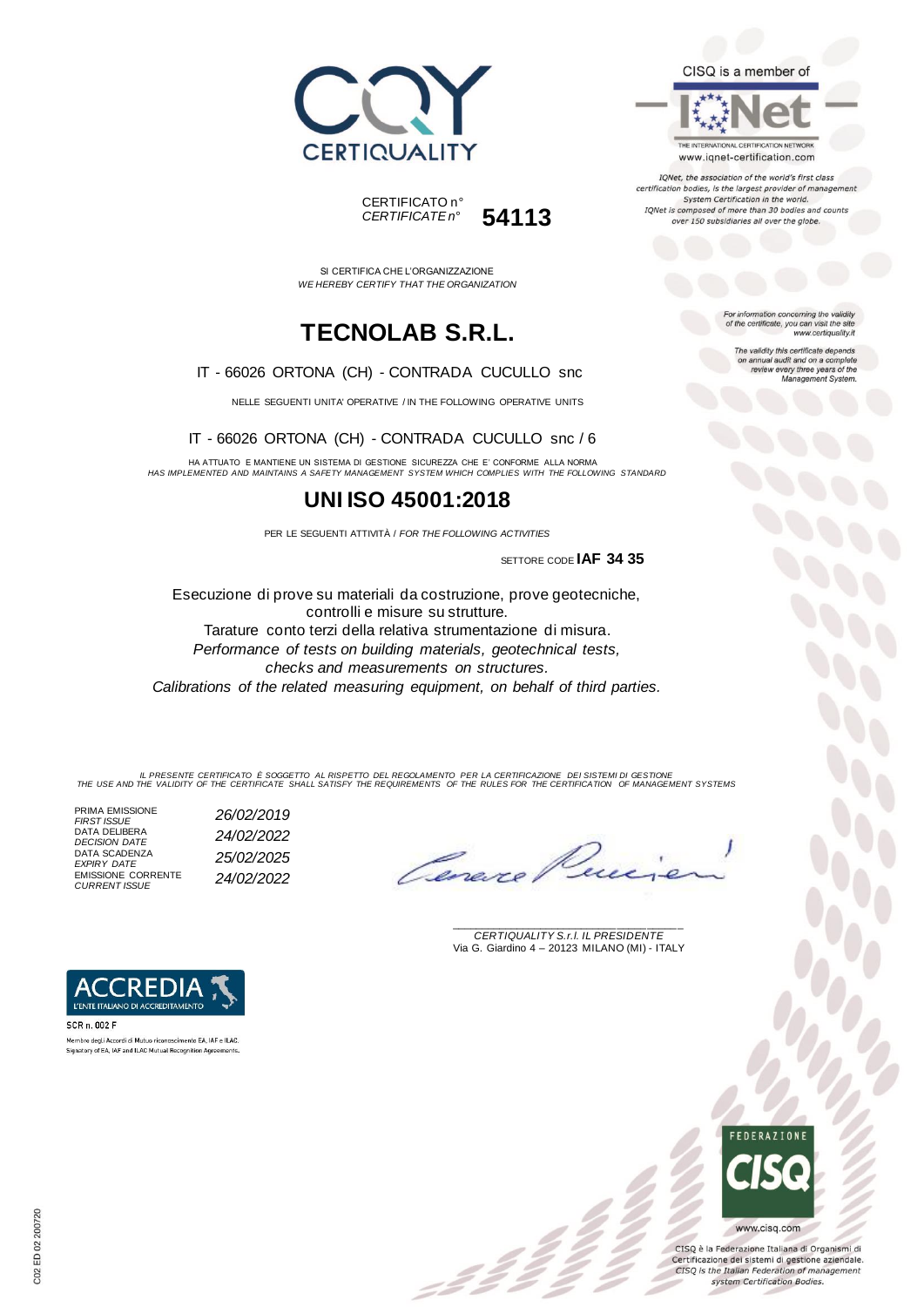



SI CERTIFICA CHE L'ORGANIZZAZIONE *WE HEREBY CERTIFY THAT THE ORGANIZATION*

# **TECNOLAB S.R.L.**

#### IT - 66026 ORTONA (CH) - CONTRADA CUCULLO snc

NELLE SEGUENTI UNITA' OPERATIVE / IN THE FOLLOWING OPERATIVE UNITS

IT - 66026 ORTONA (CH) - CONTRADA CUCULLO snc / 6

HA ATTUATO E MANTIENE UN SISTEMA DI GESTIONE SICUREZZA CHE E' CONFORME ALLA NORMA *HAS IMPLEMENTED AND MAINTAINS A SAFETY MANAGEMENT SYSTEM WHICH COMPLIES WITH THE FOLLOWING STANDARD*

### **UNI ISO 45001:2018**

PER LE SEGUENTI ATTIVITÀ / *FOR THE FOLLOWING ACTIVITIES*

SETTORE CODE **IAF 34 35**

Esecuzione di prove su materiali da costruzione, prove geotecniche, controlli e misure su strutture. Tarature conto terzi della relativa strumentazione di misura. *Performance of tests on building materials, geotechnical tests, checks and measurements on structures. Calibrations of the related measuring equipment, on behalf of third parties.* 

IL PRESENTE CERTIFICATO E SOGGETTO AL RISPETTO DEL REGOLAMENTO PER LA CERTIFICAZIONE DEI SISTEMI DI GESTIONE<br>THE USE AND THE VALIDITY OF THE CERTIFICATE SHALL SATISFY THE REQUIREMENTS OF THE RULES FOR THE CERTIFICATION OF

z 2 :

PRIMA EMISSIONE<br>FIRST ISSUE *FIRST ISSUE 26/02/2019* DATA DELIBERA DATA SCADENZA<br>EXPIRY DATE EMISSIONE CORRENTE *CURRENT ISSUE 24/02/2022*

*DECISION DATE 24/02/2022 EXPIRY DATE 25/02/2025*

Lenes

\_\_\_\_\_\_\_\_\_\_\_\_\_\_\_\_\_\_\_\_\_\_\_\_\_\_\_\_\_\_\_\_\_\_\_\_\_\_\_ *CERTIQUALITY S.r.l. IL PRESIDENTE* Via G. Giardino 4 – 20123 MILANO (MI) - ITALY



CISQ è la Federazione Italiana di Organismi di Certificazione dei sistemi di gestione aziendale. CISQ is the Italian Federation of management system Certification Bodies.



Membro degli Accordi di Mutuo riconoscimento EA, IAF e ILAC. Signatory of EA, IAF and ILAC Mutual Recognition Agreements.



CISQ is a member of

THE INTERNATIONAL CERTIFICATION NETWORK

www.iqnet-certification.com IQNet, the association of the world's first class certification bodies, is the largest provider of management System Certification in the world. IQNet is composed of more than 30 bodies and counts over 150 subsidiaries all over the globe.

> For information concerning the validity<br>of the certificate, you can visit the site www.certiquality.it

> > The validity this certificate depends on annual audit and on a complete<br>review every three years of the<br>Management System.